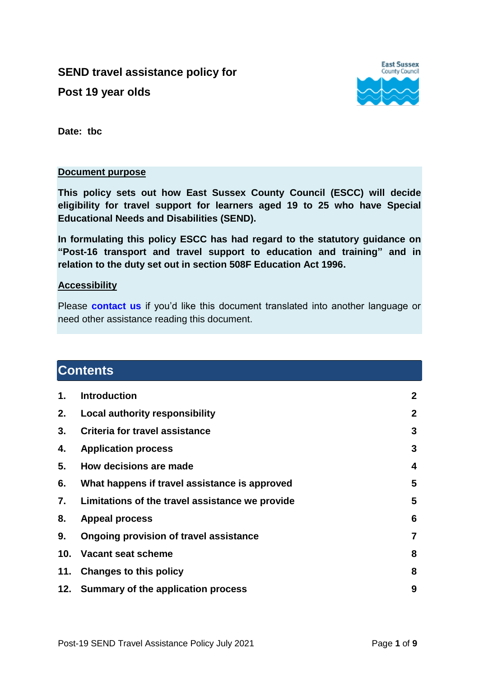#### **SEND travel assistance policy for**

**Post 19 year olds**



**Date: tbc**

#### **Document purpose**

**This policy sets out how East Sussex County Council (ESCC) will decide eligibility for travel support for learners aged 19 to 25 who have Special Educational Needs and Disabilities (SEND).**

**In formulating this policy ESCC has had regard to the statutory guidance on ["Post-16 transport and travel support to education and training"](https://assets.publishing.service.gov.uk/government/uploads/system/uploads/attachment_data/file/772913/Post16_transport_guidance.pdf) and in relation to the duty set out in section 508F Education Act 1996.**

#### **Accessibility**

Please **[contact us](mailto:disc.transport@eastsussex.gov.uk?subject=Help%20with%20your%20policies)** if you'd like this document translated into another language or need other assistance reading this document.

#### **Contents**

<span id="page-0-0"></span>

| 1. | <b>Introduction</b>                             | $\mathbf{2}$   |
|----|-------------------------------------------------|----------------|
| 2. | Local authority responsibility                  | $\mathbf{2}$   |
| 3. | Criteria for travel assistance                  | 3              |
| 4. | <b>Application process</b>                      | 3              |
| 5. | How decisions are made                          | 4              |
| 6. | What happens if travel assistance is approved   | 5              |
| 7. | Limitations of the travel assistance we provide | 5              |
| 8. | <b>Appeal process</b>                           | 6              |
| 9. | Ongoing provision of travel assistance          | $\overline{7}$ |
|    | 10. Vacant seat scheme                          | 8              |
|    | 11. Changes to this policy                      | 8              |
|    | 12. Summary of the application process          | 9              |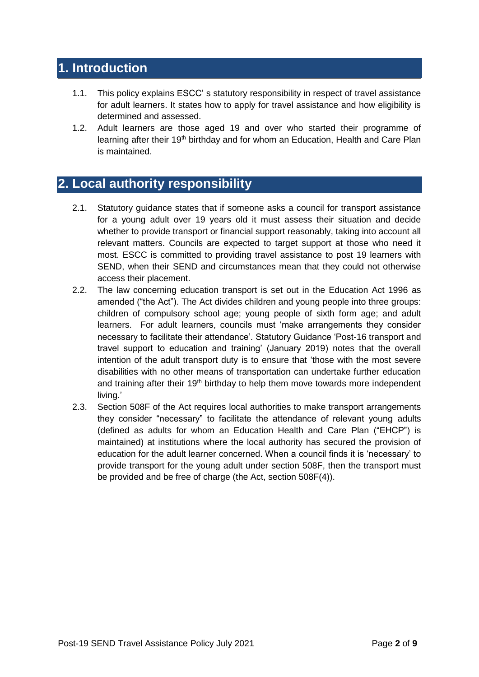# **1. Introduction**

- 1.1. This policy explains ESCC' s statutory responsibility in respect of travel assistance for adult learners. It states how to apply for travel assistance and how eligibility is determined and assessed.
- 1.2. Adult learners are those aged 19 and over who started their programme of learning after their 19<sup>th</sup> birthday and for whom an Education, Health and Care Plan is maintained.

# **2. Local authority responsibility**

- 2.1. Statutory guidance states that if someone asks a council for transport assistance for a young adult over 19 years old it must assess their situation and decide whether to provide transport or financial support reasonably, taking into account all relevant matters. Councils are expected to target support at those who need it most. ESCC is committed to providing travel assistance to post 19 learners with SEND, when their SEND and circumstances mean that they could not otherwise access their placement.
- 2.2. The law concerning education transport is set out in the Education Act 1996 as amended ("the Act"). The Act divides children and young people into three groups: children of compulsory school age; young people of sixth form age; and adult learners. For adult learners, councils must 'make arrangements they consider necessary to facilitate their attendance'. Statutory Guidance 'Post-16 transport and travel support to education and training' (January 2019) notes that the overall intention of the adult transport duty is to ensure that 'those with the most severe disabilities with no other means of transportation can undertake further education and training after their 19<sup>th</sup> birthday to help them move towards more independent living.'
- 2.3. Section 508F of the Act requires local authorities to make transport arrangements they consider "necessary" to facilitate the attendance of relevant young adults (defined as adults for whom an Education Health and Care Plan ("EHCP") is maintained) at institutions where the local authority has secured the provision of education for the adult learner concerned. When a council finds it is 'necessary' to provide transport for the young adult under section 508F, then the transport must be provided and be free of charge (the Act, section 508F(4)).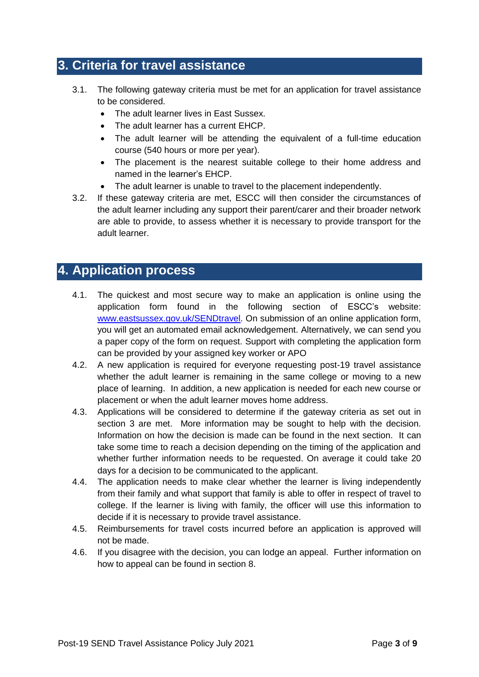## <span id="page-2-0"></span>**3. Criteria for travel assistance**

- 3.1. The following gateway criteria must be met for an application for travel assistance to be considered.
	- The adult learner lives in East Sussex.
	- The adult learner has a current EHCP.
	- The adult learner will be attending the equivalent of a full-time education course (540 hours or more per year).
	- The placement is the nearest suitable college to their home address and named in the learner's EHCP.
	- The adult learner is unable to travel to the placement independently.
- <span id="page-2-1"></span>3.2. If these gateway criteria are met, ESCC will then consider the circumstances of the adult learner including any support their parent/carer and their broader network are able to provide, to assess whether it is necessary to provide transport for the adult learner.

### **4. Application process**

- 4.1. The quickest and most secure way to make an application is online using the application form found in the following section of ESCC's website: [www.eastsussex.gov.uk/SENDtravel.](http://www.eastsussex.gov.uk/SENDtravel) On submission of an online application form, you will get an automated email acknowledgement. Alternatively, we can send you a paper copy of the form on request. Support with completing the application form can be provided by your assigned key worker or APO
- 4.2. A new application is required for everyone requesting post-19 travel assistance whether the adult learner is remaining in the same college or moving to a new place of learning. In addition, a new application is needed for each new course or placement or when the adult learner moves home address.
- 4.3. Applications will be considered to determine if the gateway criteria as set out in section 3 are met. More information may be sought to help with the decision. Information on how the decision is made can be found in the next section. It can take some time to reach a decision depending on the timing of the application and whether further information needs to be requested. On average it could take 20 days for a decision to be communicated to the applicant.
- 4.4. The application needs to make clear whether the learner is living independently from their family and what support that family is able to offer in respect of travel to college. If the learner is living with family, the officer will use this information to decide if it is necessary to provide travel assistance.
- 4.5. Reimbursements for travel costs incurred before an application is approved will not be made.
- 4.6. If you disagree with the decision, you can lodge an appeal. Further information on how to appeal can be found in section 8.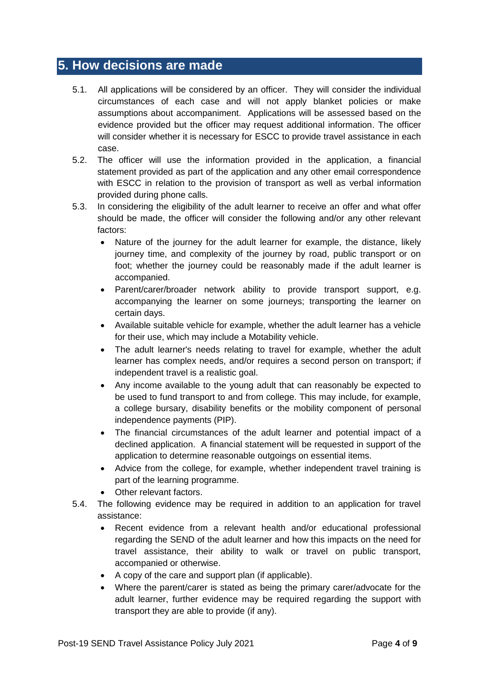### <span id="page-3-0"></span>**5. How decisions are made**

- 5.1. All applications will be considered by an officer. They will consider the individual circumstances of each case and will not apply blanket policies or make assumptions about accompaniment. Applications will be assessed based on the evidence provided but the officer may request additional information. The officer will consider whether it is necessary for ESCC to provide travel assistance in each case.
- 5.2. The officer will use the information provided in the application, a financial statement provided as part of the application and any other email correspondence with ESCC in relation to the provision of transport as well as verbal information provided during phone calls.
- 5.3. In considering the eligibility of the adult learner to receive an offer and what offer should be made, the officer will consider the following and/or any other relevant factors:
	- Nature of the journey for the adult learner for example, the distance, likely journey time, and complexity of the journey by road, public transport or on foot; whether the journey could be reasonably made if the adult learner is accompanied.
	- Parent/carer/broader network ability to provide transport support, e.g. accompanying the learner on some journeys; transporting the learner on certain days.
	- Available suitable vehicle for example, whether the adult learner has a vehicle for their use, which may include a Motability vehicle.
	- The adult learner's needs relating to travel for example, whether the adult learner has complex needs, and/or requires a second person on transport; if independent travel is a realistic goal.
	- Any income available to the young adult that can reasonably be expected to be used to fund transport to and from college. This may include, for example, a college bursary, disability benefits or the mobility component of personal independence payments (PIP).
	- The financial circumstances of the adult learner and potential impact of a declined application. A financial statement will be requested in support of the application to determine reasonable outgoings on essential items.
	- Advice from the college, for example, whether independent travel training is part of the learning programme.
	- Other relevant factors.
- 5.4. The following evidence may be required in addition to an application for travel assistance:
	- Recent evidence from a relevant health and/or educational professional regarding the SEND of the adult learner and how this impacts on the need for travel assistance, their ability to walk or travel on public transport, accompanied or otherwise.
	- A copy of the care and support plan (if applicable).
	- Where the parent/carer is stated as being the primary carer/advocate for the adult learner, further evidence may be required regarding the support with transport they are able to provide (if any).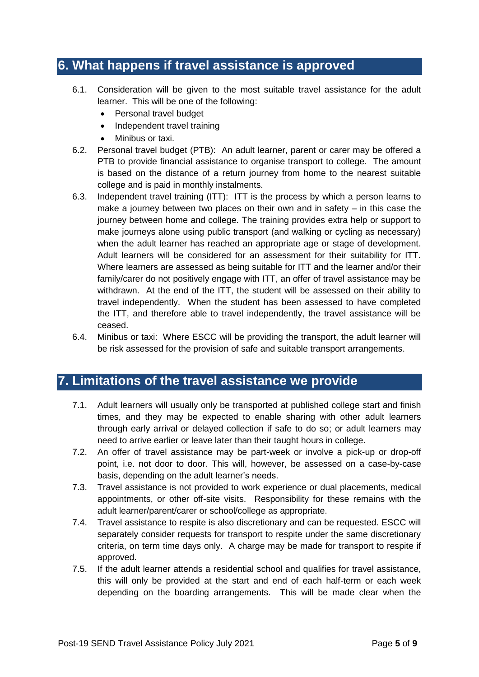# <span id="page-4-0"></span>**6. What happens if travel assistance is approved**

- 6.1. Consideration will be given to the most suitable travel assistance for the adult learner. This will be one of the following:
	- Personal travel budget
	- Independent travel training
	- Minibus or taxi.
- 6.2. Personal travel budget (PTB): An adult learner, parent or carer may be offered a PTB to provide financial assistance to organise transport to college. The amount is based on the distance of a return journey from home to the nearest suitable college and is paid in monthly instalments.
- 6.3. Independent travel training (ITT): ITT is the process by which a person learns to make a journey between two places on their own and in safety – in this case the journey between home and college. The training provides extra help or support to make journeys alone using public transport (and walking or cycling as necessary) when the adult learner has reached an appropriate age or stage of development. Adult learners will be considered for an assessment for their suitability for ITT. Where learners are assessed as being suitable for ITT and the learner and/or their family/carer do not positively engage with ITT, an offer of travel assistance may be withdrawn. At the end of the ITT, the student will be assessed on their ability to travel independently. When the student has been assessed to have completed the ITT, and therefore able to travel independently, the travel assistance will be ceased.
- 6.4. Minibus or taxi: Where ESCC will be providing the transport, the adult learner will be risk assessed for the provision of safe and suitable transport arrangements.

#### **7. Limitations of the travel assistance we provide**

- 7.1. Adult learners will usually only be transported at published college start and finish times, and they may be expected to enable sharing with other adult learners through early arrival or delayed collection if safe to do so; or adult learners may need to arrive earlier or leave later than their taught hours in college.
- 7.2. An offer of travel assistance may be part-week or involve a pick-up or drop-off point, i.e. not door to door. This will, however, be assessed on a case-by-case basis, depending on the adult learner's needs.
- 7.3. Travel assistance is not provided to work experience or dual placements, medical appointments, or other off-site visits. Responsibility for these remains with the adult learner/parent/carer or school/college as appropriate.
- 7.4. Travel assistance to respite is also discretionary and can be requested. ESCC will separately consider requests for transport to respite under the same discretionary criteria, on term time days only. A charge may be made for transport to respite if approved.
- 7.5. If the adult learner attends a residential school and qualifies for travel assistance, this will only be provided at the start and end of each half-term or each week depending on the boarding arrangements. This will be made clear when the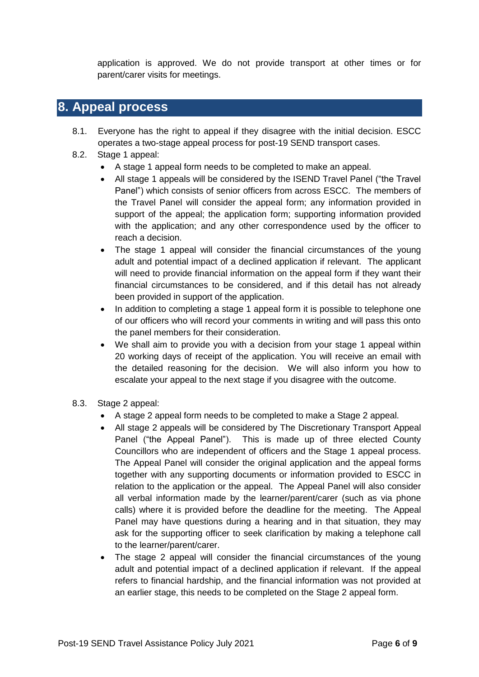application is approved. We do not provide transport at other times or for parent/carer visits for meetings.

#### **8. Appeal process**

- 8.1. Everyone has the right to appeal if they disagree with the initial decision. ESCC operates a two-stage appeal process for post-19 SEND transport cases.
- 8.2. Stage 1 appeal:
	- A stage 1 appeal form needs to be completed to make an appeal.
	- All stage 1 appeals will be considered by the ISEND Travel Panel ("the Travel Panel") which consists of senior officers from across ESCC. The members of the Travel Panel will consider the appeal form; any information provided in support of the appeal; the application form; supporting information provided with the application; and any other correspondence used by the officer to reach a decision.
	- The stage 1 appeal will consider the financial circumstances of the young adult and potential impact of a declined application if relevant. The applicant will need to provide financial information on the appeal form if they want their financial circumstances to be considered, and if this detail has not already been provided in support of the application.
	- In addition to completing a stage 1 appeal form it is possible to telephone one of our officers who will record your comments in writing and will pass this onto the panel members for their consideration.
	- We shall aim to provide you with a decision from your stage 1 appeal within 20 working days of receipt of the application. You will receive an email with the detailed reasoning for the decision. We will also inform you how to escalate your appeal to the next stage if you disagree with the outcome.
- 8.3. Stage 2 appeal:
	- A stage 2 appeal form needs to be completed to make a Stage 2 appeal.
	- All stage 2 appeals will be considered by The Discretionary Transport Appeal Panel ("the Appeal Panel"). This is made up of three elected County Councillors who are independent of officers and the Stage 1 appeal process. The Appeal Panel will consider the original application and the appeal forms together with any supporting documents or information provided to ESCC in relation to the application or the appeal. The Appeal Panel will also consider all verbal information made by the learner/parent/carer (such as via phone calls) where it is provided before the deadline for the meeting. The Appeal Panel may have questions during a hearing and in that situation, they may ask for the supporting officer to seek clarification by making a telephone call to the learner/parent/carer.
	- The stage 2 appeal will consider the financial circumstances of the young adult and potential impact of a declined application if relevant. If the appeal refers to financial hardship, and the financial information was not provided at an earlier stage, this needs to be completed on the Stage 2 appeal form.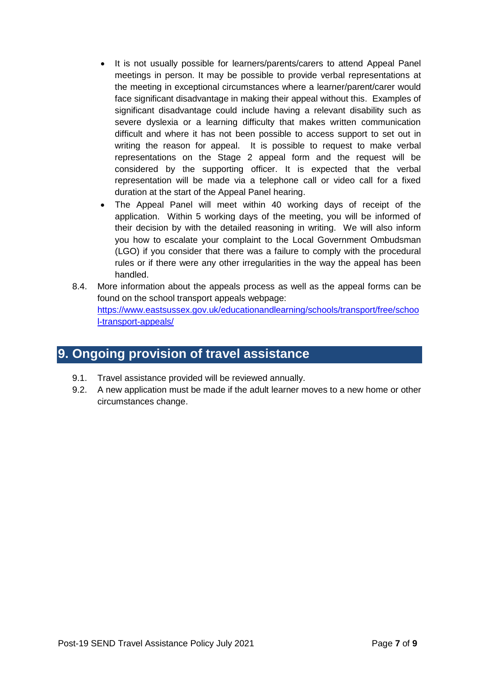- It is not usually possible for learners/parents/carers to attend Appeal Panel meetings in person. It may be possible to provide verbal representations at the meeting in exceptional circumstances where a learner/parent/carer would face significant disadvantage in making their appeal without this. Examples of significant disadvantage could include having a relevant disability such as severe dyslexia or a learning difficulty that makes written communication difficult and where it has not been possible to access support to set out in writing the reason for appeal. It is possible to request to make verbal representations on the Stage 2 appeal form and the request will be considered by the supporting officer. It is expected that the verbal representation will be made via a telephone call or video call for a fixed duration at the start of the Appeal Panel hearing.
- The Appeal Panel will meet within 40 working days of receipt of the application. Within 5 working days of the meeting, you will be informed of their decision by with the detailed reasoning in writing. We will also inform you how to escalate your complaint to the Local Government Ombudsman (LGO) if you consider that there was a failure to comply with the procedural rules or if there were any other irregularities in the way the appeal has been handled.
- 8.4. More information about the appeals process as well as the appeal forms can be found on the school transport appeals webpage: [https://www.eastsussex.gov.uk/educationandlearning/schools/transport/free/schoo](https://www.eastsussex.gov.uk/educationandlearning/schools/transport/free/school-transport-appeals/) [l-transport-appeals/](https://www.eastsussex.gov.uk/educationandlearning/schools/transport/free/school-transport-appeals/)

## <span id="page-6-0"></span>**9. Ongoing provision of travel assistance**

- 9.1. Travel assistance provided will be reviewed annually.
- 9.2. A new application must be made if the adult learner moves to a new home or other circumstances change.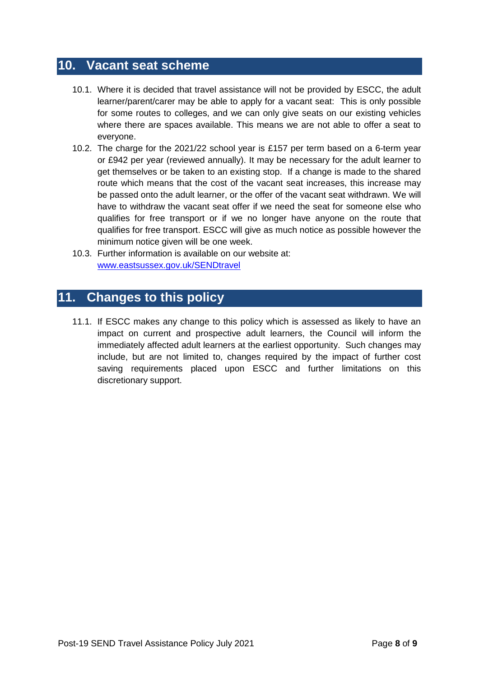### **10. Vacant seat scheme**

- 10.1. Where it is decided that travel assistance will not be provided by ESCC, the adult learner/parent/carer may be able to apply for a vacant seat: This is only possible for some routes to colleges, and we can only give seats on our existing vehicles where there are spaces available. This means we are not able to offer a seat to everyone.
- 10.2. The charge for the 2021/22 school year is £157 per term based on a 6-term year or £942 per year (reviewed annually). It may be necessary for the adult learner to get themselves or be taken to an existing stop. If a change is made to the shared route which means that the cost of the vacant seat increases, this increase may be passed onto the adult learner, or the offer of the vacant seat withdrawn. We will have to withdraw the vacant seat offer if we need the seat for someone else who qualifies for free transport or if we no longer have anyone on the route that qualifies for free transport. ESCC will give as much notice as possible however the minimum notice given will be one week.
- 10.3. Further information is available on our website at: [www.eastsussex.gov.uk/SENDtravel](http://www.eastsussex.gov.uk/SENDtravel)

## <span id="page-7-0"></span>**11. Changes to this policy**

11.1. If ESCC makes any change to this policy which is assessed as likely to have an impact on current and prospective adult learners, the Council will inform the immediately affected adult learners at the earliest opportunity. Such changes may include, but are not limited to, changes required by the impact of further cost saving requirements placed upon ESCC and further limitations on this discretionary support.